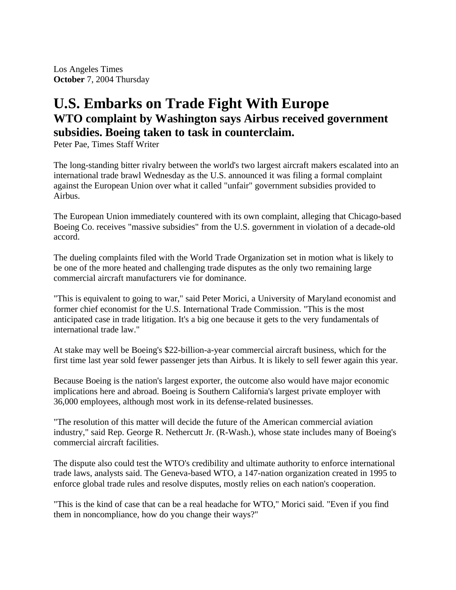Los Angeles Times **October** 7, 2004 Thursday

## **U.S. Embarks on Trade Fight With Europe WTO complaint by Washington says Airbus received government subsidies. Boeing taken to task in counterclaim.**

Peter Pae, Times Staff Writer

The long-standing bitter rivalry between the world's two largest aircraft makers escalated into an international trade brawl Wednesday as the U.S. announced it was filing a formal complaint against the European Union over what it called "unfair" government subsidies provided to Airbus.

The European Union immediately countered with its own complaint, alleging that Chicago-based Boeing Co. receives "massive subsidies" from the U.S. government in violation of a decade-old accord.

The dueling complaints filed with the World Trade Organization set in motion what is likely to be one of the more heated and challenging trade disputes as the only two remaining large commercial aircraft manufacturers vie for dominance.

"This is equivalent to going to war," said Peter Morici, a University of Maryland economist and former chief economist for the U.S. International Trade Commission. "This is the most anticipated case in trade litigation. It's a big one because it gets to the very fundamentals of international trade law."

At stake may well be Boeing's \$22-billion-a-year commercial aircraft business, which for the first time last year sold fewer passenger jets than Airbus. It is likely to sell fewer again this year.

Because Boeing is the nation's largest exporter, the outcome also would have major economic implications here and abroad. Boeing is Southern California's largest private employer with 36,000 employees, although most work in its defense-related businesses.

"The resolution of this matter will decide the future of the American commercial aviation industry," said Rep. George R. Nethercutt Jr. (R-Wash.), whose state includes many of Boeing's commercial aircraft facilities.

The dispute also could test the WTO's credibility and ultimate authority to enforce international trade laws, analysts said. The Geneva-based WTO, a 147-nation organization created in 1995 to enforce global trade rules and resolve disputes, mostly relies on each nation's cooperation.

"This is the kind of case that can be a real headache for WTO," Morici said. "Even if you find them in noncompliance, how do you change their ways?"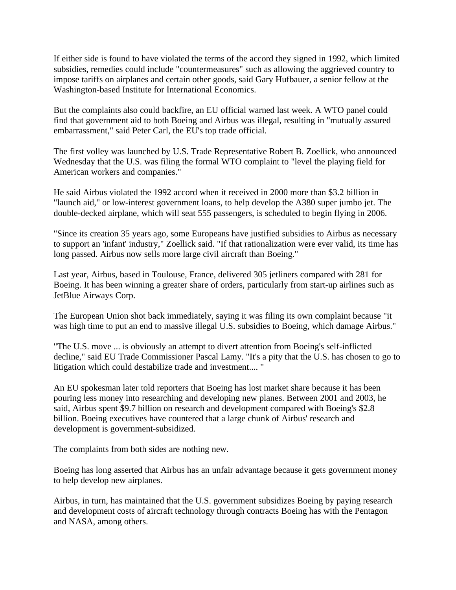If either side is found to have violated the terms of the accord they signed in 1992, which limited subsidies, remedies could include "countermeasures" such as allowing the aggrieved country to impose tariffs on airplanes and certain other goods, said Gary Hufbauer, a senior fellow at the Washington-based Institute for International Economics.

But the complaints also could backfire, an EU official warned last week. A WTO panel could find that government aid to both Boeing and Airbus was illegal, resulting in "mutually assured embarrassment," said Peter Carl, the EU's top trade official.

The first volley was launched by U.S. Trade Representative Robert B. Zoellick, who announced Wednesday that the U.S. was filing the formal WTO complaint to "level the playing field for American workers and companies."

He said Airbus violated the 1992 accord when it received in 2000 more than \$3.2 billion in "launch aid," or low-interest government loans, to help develop the A380 super jumbo jet. The double-decked airplane, which will seat 555 passengers, is scheduled to begin flying in 2006.

"Since its creation 35 years ago, some Europeans have justified subsidies to Airbus as necessary to support an 'infant' industry," Zoellick said. "If that rationalization were ever valid, its time has long passed. Airbus now sells more large civil aircraft than Boeing."

Last year, Airbus, based in Toulouse, France, delivered 305 jetliners compared with 281 for Boeing. It has been winning a greater share of orders, particularly from start-up airlines such as JetBlue Airways Corp.

The European Union shot back immediately, saying it was filing its own complaint because "it was high time to put an end to massive illegal U.S. subsidies to Boeing, which damage Airbus."

"The U.S. move ... is obviously an attempt to divert attention from Boeing's self-inflicted decline," said EU Trade Commissioner Pascal Lamy. "It's a pity that the U.S. has chosen to go to litigation which could destabilize trade and investment.... "

An EU spokesman later told reporters that Boeing has lost market share because it has been pouring less money into researching and developing new planes. Between 2001 and 2003, he said, Airbus spent \$9.7 billion on research and development compared with Boeing's \$2.8 billion. Boeing executives have countered that a large chunk of Airbus' research and development is government-subsidized.

The complaints from both sides are nothing new.

Boeing has long asserted that Airbus has an unfair advantage because it gets government money to help develop new airplanes.

Airbus, in turn, has maintained that the U.S. government subsidizes Boeing by paying research and development costs of aircraft technology through contracts Boeing has with the Pentagon and NASA, among others.